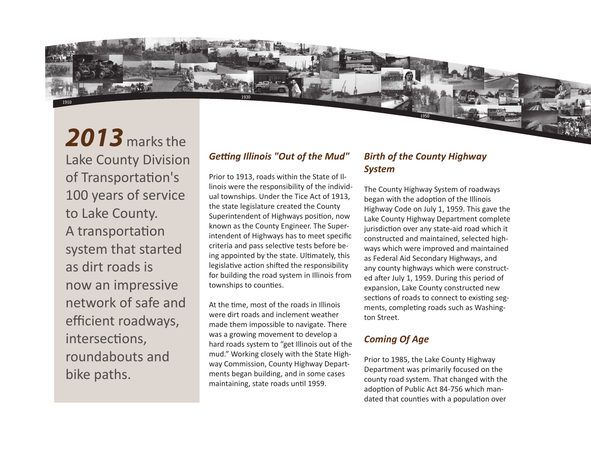

1910

## *Getting Illinois "Out of the Mud"*

1930

Prior to 1913, roads within the State of Illinois were the responsibility of the individual townships. Under the Tice Act of 1913, the state legislature created the County Superintendent of Highways position, now known as the County Engineer. The Superintendent of Highways has to meet specific criteria and pass selective tests before being appointed by the state. Ultimately, this legislative action shifted the responsibility for building the road system in Illinois from townships to counties.

At the time, most of the roads in Illinois were dirt roads and inclement weather made them impossible to navigate. There was a growing movement to develop a hard roads system to "get Illinois out of the mud." Working closely with the State Highway Commission, County Highway Departments began building, and in some cases maintaining, state roads until 1959.

## *Birth of the County Highway System*

1950

The County Highway System of roadways began with the adoption of the Illinois Highway Code on July 1, 1959. This gave the Lake County Highway Department complete jurisdiction over any state-aid road which it constructed and maintained, selected highways which were improved and maintained as Federal Aid Secondary Highways, and any county highways which were constructed after July 1, 1959. During this period of expansion, Lake County constructed new sections of roads to connect to existing segments, completing roads such as Washington Street.

## *Coming Of Age*

Prior to 1985, the Lake County Highway Department was primarily focused on the county road system. That changed with the adoption of Public Act 84-756 which mandated that counties with a population over